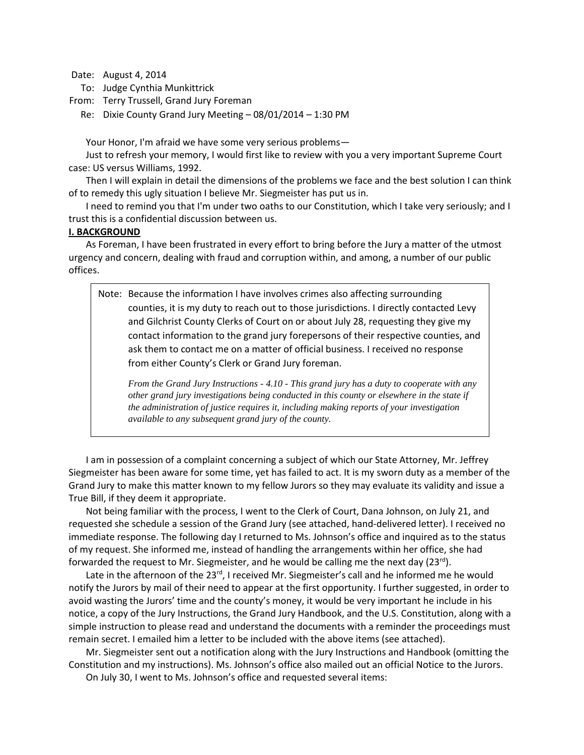Date: August 4, 2014

To: Judge Cynthia Munkittrick

From: Terry Trussell, Grand Jury Foreman

Re: Dixie County Grand Jury Meeting – 08/01/2014 – 1:30 PM

Your Honor, I'm afraid we have some very serious problems—

Just to refresh your memory, I would first like to review with you a very important Supreme Court case: US versus Williams, 1992.

Then I will explain in detail the dimensions of the problems we face and the best solution I can think of to remedy this ugly situation I believe Mr. Siegmeister has put us in.

I need to remind you that I'm under two oaths to our Constitution, which I take very seriously; and I trust this is a confidential discussion between us.

## **I. BACKGROUND**

As Foreman, I have been frustrated in every effort to bring before the Jury a matter of the utmost urgency and concern, dealing with fraud and corruption within, and among, a number of our public offices.

Note: Because the information I have involves crimes also affecting surrounding counties, it is my duty to reach out to those jurisdictions. I directly contacted Levy and Gilchrist County Clerks of Court on or about July 28, requesting they give my contact information to the grand jury forepersons of their respective counties, and ask them to contact me on a matter of official business. I received no response from either County's Clerk or Grand Jury foreman.

*From the Grand Jury Instructions - 4.10 - This grand jury has a duty to cooperate with any other grand jury investigations being conducted in this county or elsewhere in the state if the administration of justice requires it, including making reports of your investigation available to any subsequent grand jury of the county.*

I am in possession of a complaint concerning a subject of which our State Attorney, Mr. Jeffrey Siegmeister has been aware for some time, yet has failed to act. It is my sworn duty as a member of the Grand Jury to make this matter known to my fellow Jurors so they may evaluate its validity and issue a True Bill, if they deem it appropriate.

Not being familiar with the process, I went to the Clerk of Court, Dana Johnson, on July 21, and requested she schedule a session of the Grand Jury (see attached, hand-delivered letter). I received no immediate response. The following day I returned to Ms. Johnson's office and inquired as to the status of my request. She informed me, instead of handling the arrangements within her office, she had forwarded the request to Mr. Siegmeister, and he would be calling me the next day  $(23^{rd})$ .

Late in the afternoon of the 23 $rd$ , I received Mr. Siegmeister's call and he informed me he would notify the Jurors by mail of their need to appear at the first opportunity. I further suggested, in order to avoid wasting the Jurors' time and the county's money, it would be very important he include in his notice, a copy of the Jury Instructions, the Grand Jury Handbook, and the U.S. Constitution, along with a simple instruction to please read and understand the documents with a reminder the proceedings must remain secret. I emailed him a letter to be included with the above items (see attached).

Mr. Siegmeister sent out a notification along with the Jury Instructions and Handbook (omitting the Constitution and my instructions). Ms. Johnson's office also mailed out an official Notice to the Jurors. On July 30, I went to Ms. Johnson's office and requested several items: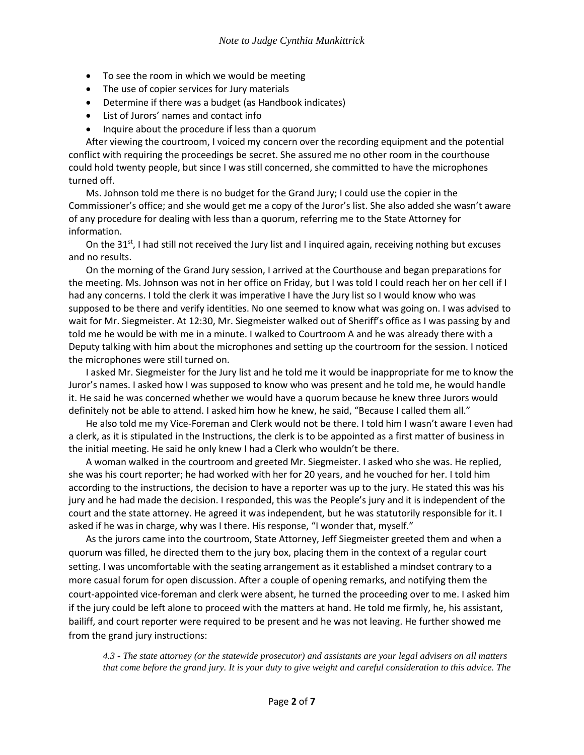- To see the room in which we would be meeting
- The use of copier services for Jury materials
- Determine if there was a budget (as Handbook indicates)
- List of Jurors' names and contact info
- Inquire about the procedure if less than a quorum

After viewing the courtroom, I voiced my concern over the recording equipment and the potential conflict with requiring the proceedings be secret. She assured me no other room in the courthouse could hold twenty people, but since I was still concerned, she committed to have the microphones turned off.

Ms. Johnson told me there is no budget for the Grand Jury; I could use the copier in the Commissioner's office; and she would get me a copy of the Juror's list. She also added she wasn't aware of any procedure for dealing with less than a quorum, referring me to the State Attorney for information.

On the 31st, I had still not received the Jury list and I inquired again, receiving nothing but excuses and no results.

On the morning of the Grand Jury session, I arrived at the Courthouse and began preparations for the meeting. Ms. Johnson was not in her office on Friday, but I was told I could reach her on her cell if I had any concerns. I told the clerk it was imperative I have the Jury list so I would know who was supposed to be there and verify identities. No one seemed to know what was going on. I was advised to wait for Mr. Siegmeister. At 12:30, Mr. Siegmeister walked out of Sheriff's office as I was passing by and told me he would be with me in a minute. I walked to Courtroom A and he was already there with a Deputy talking with him about the microphones and setting up the courtroom for the session. I noticed the microphones were still turned on.

I asked Mr. Siegmeister for the Jury list and he told me it would be inappropriate for me to know the Juror's names. I asked how I was supposed to know who was present and he told me, he would handle it. He said he was concerned whether we would have a quorum because he knew three Jurors would definitely not be able to attend. I asked him how he knew, he said, "Because I called them all."

He also told me my Vice-Foreman and Clerk would not be there. I told him I wasn't aware I even had a clerk, as it is stipulated in the Instructions, the clerk is to be appointed as a first matter of business in the initial meeting. He said he only knew I had a Clerk who wouldn't be there.

A woman walked in the courtroom and greeted Mr. Siegmeister. I asked who she was. He replied, she was his court reporter; he had worked with her for 20 years, and he vouched for her. I told him according to the instructions, the decision to have a reporter was up to the jury. He stated this was his jury and he had made the decision. I responded, this was the People's jury and it is independent of the court and the state attorney. He agreed it was independent, but he was statutorily responsible for it. I asked if he was in charge, why was I there. His response, "I wonder that, myself."

As the jurors came into the courtroom, State Attorney, Jeff Siegmeister greeted them and when a quorum was filled, he directed them to the jury box, placing them in the context of a regular court setting. I was uncomfortable with the seating arrangement as it established a mindset contrary to a more casual forum for open discussion. After a couple of opening remarks, and notifying them the court-appointed vice-foreman and clerk were absent, he turned the proceeding over to me. I asked him if the jury could be left alone to proceed with the matters at hand. He told me firmly, he, his assistant, bailiff, and court reporter were required to be present and he was not leaving. He further showed me from the grand jury instructions:

*4.3 - The state attorney (or the statewide prosecutor) and assistants are your legal advisers on all matters that come before the grand jury. It is your duty to give weight and careful consideration to this advice. The*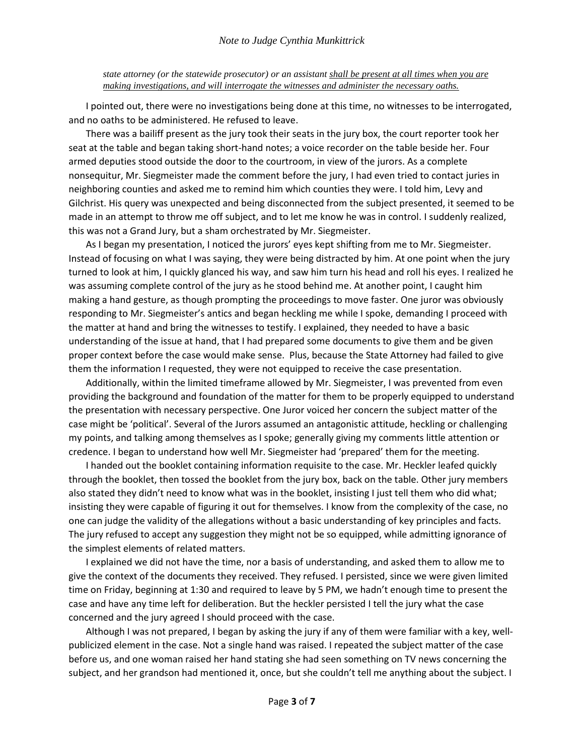*state attorney (or the statewide prosecutor) or an assistant shall be present at all times when you are making investigations, and will interrogate the witnesses and administer the necessary oaths.*

I pointed out, there were no investigations being done at this time, no witnesses to be interrogated, and no oaths to be administered. He refused to leave.

There was a bailiff present as the jury took their seats in the jury box, the court reporter took her seat at the table and began taking short-hand notes; a voice recorder on the table beside her. Four armed deputies stood outside the door to the courtroom, in view of the jurors. As a complete nonsequitur, Mr. Siegmeister made the comment before the jury, I had even tried to contact juries in neighboring counties and asked me to remind him which counties they were. I told him, Levy and Gilchrist. His query was unexpected and being disconnected from the subject presented, it seemed to be made in an attempt to throw me off subject, and to let me know he was in control. I suddenly realized, this was not a Grand Jury, but a sham orchestrated by Mr. Siegmeister.

As I began my presentation, I noticed the jurors' eyes kept shifting from me to Mr. Siegmeister. Instead of focusing on what I was saying, they were being distracted by him. At one point when the jury turned to look at him, I quickly glanced his way, and saw him turn his head and roll his eyes. I realized he was assuming complete control of the jury as he stood behind me. At another point, I caught him making a hand gesture, as though prompting the proceedings to move faster. One juror was obviously responding to Mr. Siegmeister's antics and began heckling me while I spoke, demanding I proceed with the matter at hand and bring the witnesses to testify. I explained, they needed to have a basic understanding of the issue at hand, that I had prepared some documents to give them and be given proper context before the case would make sense. Plus, because the State Attorney had failed to give them the information I requested, they were not equipped to receive the case presentation.

Additionally, within the limited timeframe allowed by Mr. Siegmeister, I was prevented from even providing the background and foundation of the matter for them to be properly equipped to understand the presentation with necessary perspective. One Juror voiced her concern the subject matter of the case might be 'political'. Several of the Jurors assumed an antagonistic attitude, heckling or challenging my points, and talking among themselves as I spoke; generally giving my comments little attention or credence. I began to understand how well Mr. Siegmeister had 'prepared' them for the meeting.

I handed out the booklet containing information requisite to the case. Mr. Heckler leafed quickly through the booklet, then tossed the booklet from the jury box, back on the table. Other jury members also stated they didn't need to know what was in the booklet, insisting I just tell them who did what; insisting they were capable of figuring it out for themselves. I know from the complexity of the case, no one can judge the validity of the allegations without a basic understanding of key principles and facts. The jury refused to accept any suggestion they might not be so equipped, while admitting ignorance of the simplest elements of related matters.

I explained we did not have the time, nor a basis of understanding, and asked them to allow me to give the context of the documents they received. They refused. I persisted, since we were given limited time on Friday, beginning at 1:30 and required to leave by 5 PM, we hadn't enough time to present the case and have any time left for deliberation. But the heckler persisted I tell the jury what the case concerned and the jury agreed I should proceed with the case.

Although I was not prepared, I began by asking the jury if any of them were familiar with a key, wellpublicized element in the case. Not a single hand was raised. I repeated the subject matter of the case before us, and one woman raised her hand stating she had seen something on TV news concerning the subject, and her grandson had mentioned it, once, but she couldn't tell me anything about the subject. I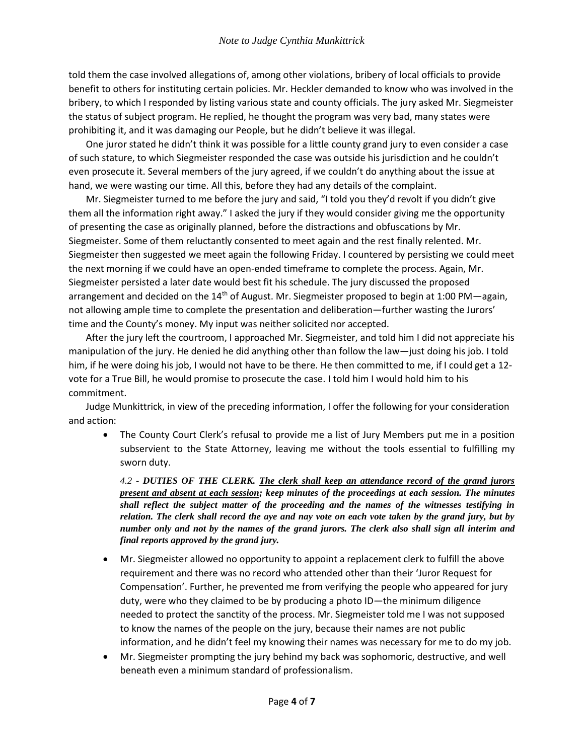told them the case involved allegations of, among other violations, bribery of local officials to provide benefit to others for instituting certain policies. Mr. Heckler demanded to know who was involved in the bribery, to which I responded by listing various state and county officials. The jury asked Mr. Siegmeister the status of subject program. He replied, he thought the program was very bad, many states were prohibiting it, and it was damaging our People, but he didn't believe it was illegal.

One juror stated he didn't think it was possible for a little county grand jury to even consider a case of such stature, to which Siegmeister responded the case was outside his jurisdiction and he couldn't even prosecute it. Several members of the jury agreed, if we couldn't do anything about the issue at hand, we were wasting our time. All this, before they had any details of the complaint.

Mr. Siegmeister turned to me before the jury and said, "I told you they'd revolt if you didn't give them all the information right away." I asked the jury if they would consider giving me the opportunity of presenting the case as originally planned, before the distractions and obfuscations by Mr. Siegmeister. Some of them reluctantly consented to meet again and the rest finally relented. Mr. Siegmeister then suggested we meet again the following Friday. I countered by persisting we could meet the next morning if we could have an open-ended timeframe to complete the process. Again, Mr. Siegmeister persisted a later date would best fit his schedule. The jury discussed the proposed arrangement and decided on the  $14<sup>th</sup>$  of August. Mr. Siegmeister proposed to begin at 1:00 PM—again, not allowing ample time to complete the presentation and deliberation—further wasting the Jurors' time and the County's money. My input was neither solicited nor accepted.

After the jury left the courtroom, I approached Mr. Siegmeister, and told him I did not appreciate his manipulation of the jury. He denied he did anything other than follow the law—just doing his job. I told him, if he were doing his job, I would not have to be there. He then committed to me, if I could get a 12vote for a True Bill, he would promise to prosecute the case. I told him I would hold him to his commitment.

Judge Munkittrick, in view of the preceding information, I offer the following for your consideration and action:

 The County Court Clerk's refusal to provide me a list of Jury Members put me in a position subservient to the State Attorney, leaving me without the tools essential to fulfilling my sworn duty.

*4.2 - DUTIES OF THE CLERK. The clerk shall keep an attendance record of the grand jurors present and absent at each session; keep minutes of the proceedings at each session. The minutes shall reflect the subject matter of the proceeding and the names of the witnesses testifying in relation. The clerk shall record the aye and nay vote on each vote taken by the grand jury, but by number only and not by the names of the grand jurors. The clerk also shall sign all interim and final reports approved by the grand jury.*

- Mr. Siegmeister allowed no opportunity to appoint a replacement clerk to fulfill the above requirement and there was no record who attended other than their 'Juror Request for Compensation'. Further, he prevented me from verifying the people who appeared for jury duty, were who they claimed to be by producing a photo ID—the minimum diligence needed to protect the sanctity of the process. Mr. Siegmeister told me I was not supposed to know the names of the people on the jury, because their names are not public information, and he didn't feel my knowing their names was necessary for me to do my job.
- Mr. Siegmeister prompting the jury behind my back was sophomoric, destructive, and well beneath even a minimum standard of professionalism.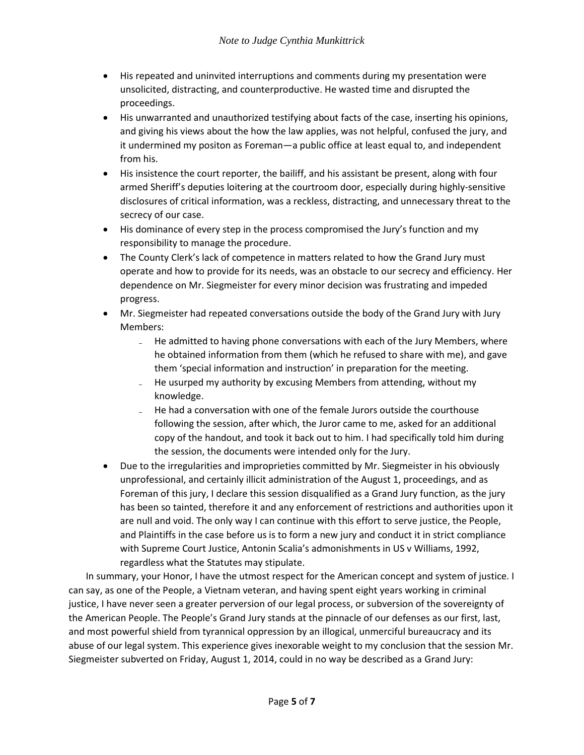- His repeated and uninvited interruptions and comments during my presentation were unsolicited, distracting, and counterproductive. He wasted time and disrupted the proceedings.
- His unwarranted and unauthorized testifying about facts of the case, inserting his opinions, and giving his views about the how the law applies, was not helpful, confused the jury, and it undermined my positon as Foreman—a public office at least equal to, and independent from his.
- His insistence the court reporter, the bailiff, and his assistant be present, along with four armed Sheriff's deputies loitering at the courtroom door, especially during highly-sensitive disclosures of critical information, was a reckless, distracting, and unnecessary threat to the secrecy of our case.
- His dominance of every step in the process compromised the Jury's function and my responsibility to manage the procedure.
- The County Clerk's lack of competence in matters related to how the Grand Jury must operate and how to provide for its needs, was an obstacle to our secrecy and efficiency. Her dependence on Mr. Siegmeister for every minor decision was frustrating and impeded progress.
- Mr. Siegmeister had repeated conversations outside the body of the Grand Jury with Jury Members:
	- He admitted to having phone conversations with each of the Jury Members, where he obtained information from them (which he refused to share with me), and gave them 'special information and instruction' in preparation for the meeting.
	- He usurped my authority by excusing Members from attending, without my knowledge.
	- He had a conversation with one of the female Jurors outside the courthouse following the session, after which, the Juror came to me, asked for an additional copy of the handout, and took it back out to him. I had specifically told him during the session, the documents were intended only for the Jury.
- Due to the irregularities and improprieties committed by Mr. Siegmeister in his obviously unprofessional, and certainly illicit administration of the August 1, proceedings, and as Foreman of this jury, I declare this session disqualified as a Grand Jury function, as the jury has been so tainted, therefore it and any enforcement of restrictions and authorities upon it are null and void. The only way I can continue with this effort to serve justice, the People, and Plaintiffs in the case before us is to form a new jury and conduct it in strict compliance with Supreme Court Justice, Antonin Scalia's admonishments in US v Williams, 1992, regardless what the Statutes may stipulate.

In summary, your Honor, I have the utmost respect for the American concept and system of justice. I can say, as one of the People, a Vietnam veteran, and having spent eight years working in criminal justice, I have never seen a greater perversion of our legal process, or subversion of the sovereignty of the American People. The People's Grand Jury stands at the pinnacle of our defenses as our first, last, and most powerful shield from tyrannical oppression by an illogical, unmerciful bureaucracy and its abuse of our legal system. This experience gives inexorable weight to my conclusion that the session Mr. Siegmeister subverted on Friday, August 1, 2014, could in no way be described as a Grand Jury: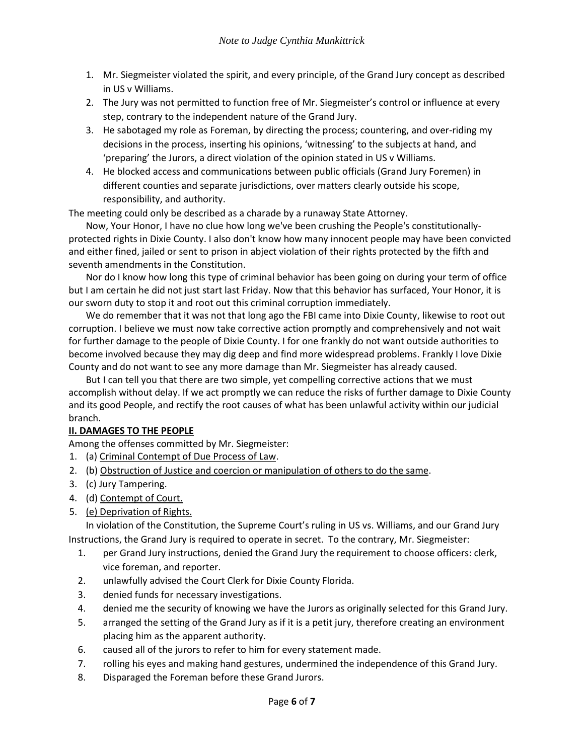- 1. Mr. Siegmeister violated the spirit, and every principle, of the Grand Jury concept as described in US v Williams.
- 2. The Jury was not permitted to function free of Mr. Siegmeister's control or influence at every step, contrary to the independent nature of the Grand Jury.
- 3. He sabotaged my role as Foreman, by directing the process; countering, and over-riding my decisions in the process, inserting his opinions, 'witnessing' to the subjects at hand, and 'preparing' the Jurors, a direct violation of the opinion stated in US v Williams.
- 4. He blocked access and communications between public officials (Grand Jury Foremen) in different counties and separate jurisdictions, over matters clearly outside his scope, responsibility, and authority.

The meeting could only be described as a charade by a runaway State Attorney.

Now, Your Honor, I have no clue how long we've been crushing the People's constitutionallyprotected rights in Dixie County. I also don't know how many innocent people may have been convicted and either fined, jailed or sent to prison in abject violation of their rights protected by the fifth and seventh amendments in the Constitution.

Nor do I know how long this type of criminal behavior has been going on during your term of office but I am certain he did not just start last Friday. Now that this behavior has surfaced, Your Honor, it is our sworn duty to stop it and root out this criminal corruption immediately.

We do remember that it was not that long ago the FBI came into Dixie County, likewise to root out corruption. I believe we must now take corrective action promptly and comprehensively and not wait for further damage to the people of Dixie County. I for one frankly do not want outside authorities to become involved because they may dig deep and find more widespread problems. Frankly I love Dixie County and do not want to see any more damage than Mr. Siegmeister has already caused.

But I can tell you that there are two simple, yet compelling corrective actions that we must accomplish without delay. If we act promptly we can reduce the risks of further damage to Dixie County and its good People, and rectify the root causes of what has been unlawful activity within our judicial branch.

## **II. DAMAGES TO THE PEOPLE**

Among the offenses committed by Mr. Siegmeister:

- 1. (a) Criminal Contempt of Due Process of Law.
- 2. (b) Obstruction of Justice and coercion or manipulation of others to do the same.
- 3. (c) Jury Tampering.
- 4. (d) Contempt of Court.
- 5. (e) Deprivation of Rights.

In violation of the Constitution, the Supreme Court's ruling in US vs. Williams, and our Grand Jury Instructions, the Grand Jury is required to operate in secret. To the contrary, Mr. Siegmeister:

- 1. per Grand Jury instructions, denied the Grand Jury the requirement to choose officers: clerk, vice foreman, and reporter.
- 2. unlawfully advised the Court Clerk for Dixie County Florida.
- 3. denied funds for necessary investigations.
- 4. denied me the security of knowing we have the Jurors as originally selected for this Grand Jury.
- 5. arranged the setting of the Grand Jury as if it is a petit jury, therefore creating an environment placing him as the apparent authority.
- 6. caused all of the jurors to refer to him for every statement made.
- 7. rolling his eyes and making hand gestures, undermined the independence of this Grand Jury.
- 8. Disparaged the Foreman before these Grand Jurors.